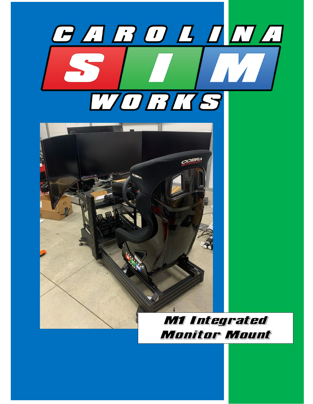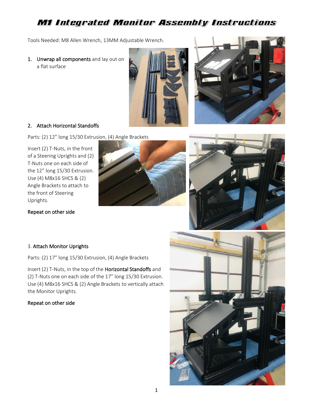# M1 Integrated Monitor Assembly Instructions

Tools Needed: M8 Allen Wrench, 13MM Adjustable Wrench.

1. Unwrap all components and lay out on a flat surface





### 2. Attach Horizontal Standoffs

Parts: (2) 12" long 15/30 Extrusion, (4) Angle Brackets

Insert (2) T-Nuts, in the front of a Steering Uprights and (2) T-Nuts one on each side of the 12" long 15/30 Extrusion. Use (4) M8x16 SHCS & (2) Angle Brackets to attach to the front of Steering Uprights.

Repeat on other side





#### 3. Attach Monitor Uprights

Parts: (2) 17" long 15/30 Extrusion, (4) Angle Brackets

Insert (2) T-Nuts, in the top of the Horizontal Standoffs and (2) T-Nuts one on each side of the 17" long 15/30 Extrusion. Use (4) M8x16 SHCS & (2) Angle Brackets to vertically attach the Monitor Uprights.

### Repeat on other side

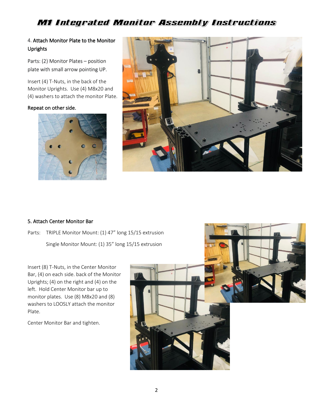# M1 Integrated Monitor Assembly Instructions

## 4. Attach Monitor Plate to the Monitor Uprights

Parts: (2) Monitor Plates – position plate with small arrow pointing UP.

Insert (4) T-Nuts, in the back of the Monitor Uprights. Use (4) M8x20 and (4) washers to attach the monitor Plate.

#### Repeat on other side.





#### 5. Attach Center Monitor Bar

Parts: TRIPLE Monitor Mount: (1) 47" long 15/15 extrusion Single Monitor Mount: (1) 35" long 15/15 extrusion

Insert (8) T-Nuts, in the Center Monitor Bar, (4) on each side. back of the Monitor Uprights; (4) on the right and (4) on the left. Hold Center Monitor bar up to monitor plates. Use (8) M8x20 and (8) washers to LOOSLY attach the monitor Plate.

Center Monitor Bar and tighten.